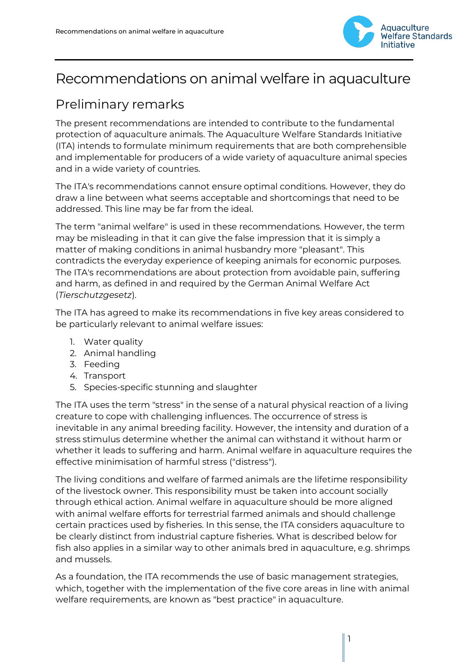

# Recommendations on animal welfare in aquaculture

# Preliminary remarks

The present recommendations are intended to contribute to the fundamental protection of aquaculture animals. The Aquaculture Welfare Standards Initiative (ITA) intends to formulate minimum requirements that are both comprehensible and implementable for producers of a wide variety of aquaculture animal species and in a wide variety of countries.

The ITA's recommendations cannot ensure optimal conditions. However, they do draw a line between what seems acceptable and shortcomings that need to be addressed. This line may be far from the ideal.

The term "animal welfare" is used in these recommendations. However, the term may be misleading in that it can give the false impression that it is simply a matter of making conditions in animal husbandry more "pleasant". This contradicts the everyday experience of keeping animals for economic purposes. The ITA's recommendations are about protection from avoidable pain, suffering and harm, as defined in and required by the German Animal Welfare Act (*Tierschutzgesetz*).

The ITA has agreed to make its recommendations in five key areas considered to be particularly relevant to animal welfare issues:

- 1. Water quality
- 2. Animal handling
- 3. Feeding
- 4. Transport
- 5. Species-specific stunning and slaughter

The ITA uses the term "stress" in the sense of a natural physical reaction of a living creature to cope with challenging influences. The occurrence of stress is inevitable in any animal breeding facility. However, the intensity and duration of a stress stimulus determine whether the animal can withstand it without harm or whether it leads to suffering and harm. Animal welfare in aquaculture requires the effective minimisation of harmful stress ("distress").

The living conditions and welfare of farmed animals are the lifetime responsibility of the livestock owner. This responsibility must be taken into account socially through ethical action. Animal welfare in aquaculture should be more aligned with animal welfare efforts for terrestrial farmed animals and should challenge certain practices used by fisheries. In this sense, the ITA considers aquaculture to be clearly distinct from industrial capture fisheries. What is described below for fish also applies in a similar way to other animals bred in aquaculture, e.g. shrimps and mussels.

As a foundation, the ITA recommends the use of basic management strategies, which, together with the implementation of the five core areas in line with animal welfare requirements, are known as "best practice" in aquaculture.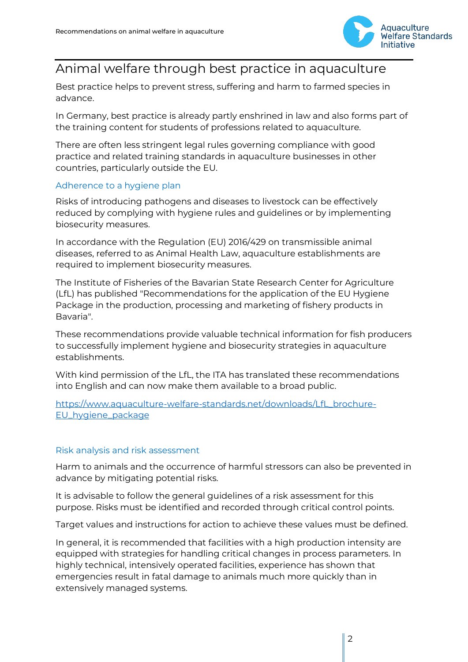

## Animal welfare through best practice in aquaculture

Best practice helps to prevent stress, suffering and harm to farmed species in advance.

In Germany, best practice is already partly enshrined in law and also forms part of the training content for students of professions related to aquaculture.

There are often less stringent legal rules governing compliance with good practice and related training standards in aquaculture businesses in other countries, particularly outside the EU.

### Adherence to a hygiene plan

Risks of introducing pathogens and diseases to livestock can be effectively reduced by complying with hygiene rules and guidelines or by implementing biosecurity measures.

In accordance with the Regulation (EU) 2016/429 on transmissible animal diseases, referred to as Animal Health Law, aquaculture establishments are required to implement biosecurity measures.

The Institute of Fisheries of the Bavarian State Research Center for Agriculture (LfL) has published "Recommendations for the application of the EU Hygiene Package in the production, processing and marketing of fishery products in Bavaria".

These recommendations provide valuable technical information for fish producers to successfully implement hygiene and biosecurity strategies in aquaculture establishments.

With kind permission of the LfL, the ITA has translated these recommendations into English and can now make them available to a broad public.

[https://www.aquaculture-welfare-standards.net/downloads/LfL\\_brochure-](https://www.aquaculture-welfare-standards.net/downloads/LfL_brochure-EU_hygiene_package)[EU\\_hygiene\\_package](https://www.aquaculture-welfare-standards.net/downloads/LfL_brochure-EU_hygiene_package)

### Risk analysis and risk assessment

Harm to animals and the occurrence of harmful stressors can also be prevented in advance by mitigating potential risks.

It is advisable to follow the general guidelines of a risk assessment for this purpose. Risks must be identified and recorded through critical control points.

Target values and instructions for action to achieve these values must be defined.

In general, it is recommended that facilities with a high production intensity are equipped with strategies for handling critical changes in process parameters. In highly technical, intensively operated facilities, experience has shown that emergencies result in fatal damage to animals much more quickly than in extensively managed systems.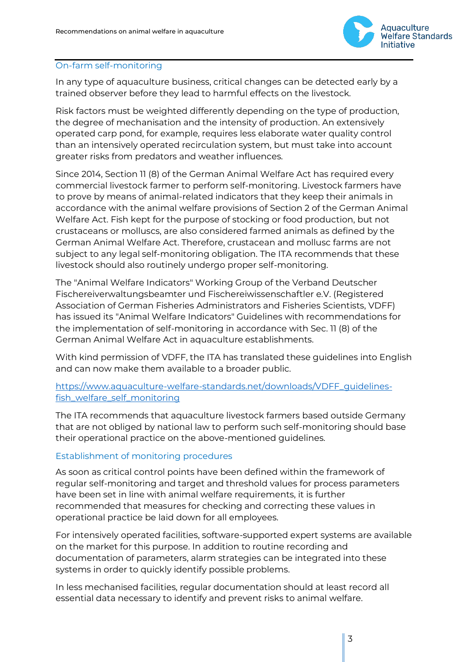

### On-farm self-monitoring

In any type of aquaculture business, critical changes can be detected early by a trained observer before they lead to harmful effects on the livestock.

Risk factors must be weighted differently depending on the type of production, the degree of mechanisation and the intensity of production. An extensively operated carp pond, for example, requires less elaborate water quality control than an intensively operated recirculation system, but must take into account greater risks from predators and weather influences.

Since 2014, Section 11 (8) of the German Animal Welfare Act has required every commercial livestock farmer to perform self-monitoring. Livestock farmers have to prove by means of animal-related indicators that they keep their animals in accordance with the animal welfare provisions of Section 2 of the German Animal Welfare Act. Fish kept for the purpose of stocking or food production, but not crustaceans or molluscs, are also considered farmed animals as defined by the German Animal Welfare Act. Therefore, crustacean and mollusc farms are not subject to any legal self-monitoring obligation. The ITA recommends that these livestock should also routinely undergo proper self-monitoring.

The "Animal Welfare Indicators" Working Group of the Verband Deutscher Fischereiverwaltungsbeamter und Fischereiwissenschaftler e.V. (Registered Association of German Fisheries Administrators and Fisheries Scientists, VDFF) has issued its "Animal Welfare Indicators" Guidelines with recommendations for the implementation of self-monitoring in accordance with Sec. 11 (8) of the German Animal Welfare Act in aquaculture establishments.

With kind permission of VDFF, the ITA has translated these guidelines into English and can now make them available to a broader public.

### [https://www.aquaculture-welfare-standards.net/downloads/VDFF\\_guidelines](https://www.aquaculture-welfare-standards.net/downloads/VDFF_guidelines-fish_welfare_self_monitoring)[fish\\_welfare\\_self\\_monitoring](https://www.aquaculture-welfare-standards.net/downloads/VDFF_guidelines-fish_welfare_self_monitoring)

The ITA recommends that aquaculture livestock farmers based outside Germany that are not obliged by national law to perform such self-monitoring should base their operational practice on the above-mentioned guidelines.

### Establishment of monitoring procedures

As soon as critical control points have been defined within the framework of regular self-monitoring and target and threshold values for process parameters have been set in line with animal welfare requirements, it is further recommended that measures for checking and correcting these values in operational practice be laid down for all employees.

For intensively operated facilities, software-supported expert systems are available on the market for this purpose. In addition to routine recording and documentation of parameters, alarm strategies can be integrated into these systems in order to quickly identify possible problems.

In less mechanised facilities, regular documentation should at least record all essential data necessary to identify and prevent risks to animal welfare.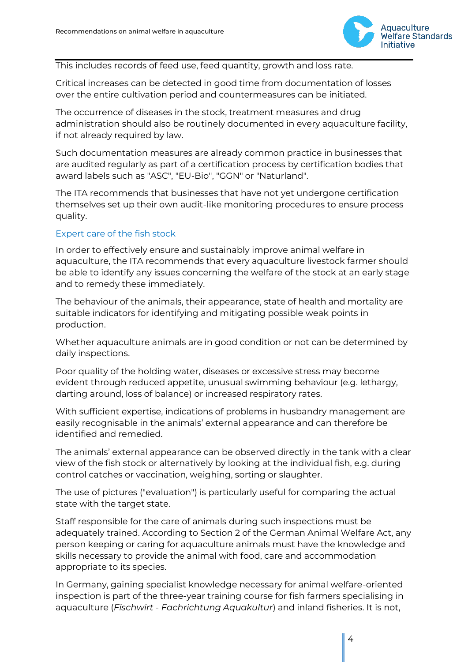

This includes records of feed use, feed quantity, growth and loss rate.

Critical increases can be detected in good time from documentation of losses over the entire cultivation period and countermeasures can be initiated.

The occurrence of diseases in the stock, treatment measures and drug administration should also be routinely documented in every aquaculture facility, if not already required by law.

Such documentation measures are already common practice in businesses that are audited regularly as part of a certification process by certification bodies that award labels such as "ASC", "EU-Bio", "GGN" or "Naturland".

The ITA recommends that businesses that have not yet undergone certification themselves set up their own audit-like monitoring procedures to ensure process quality.

### Expert care of the fish stock

In order to effectively ensure and sustainably improve animal welfare in aquaculture, the ITA recommends that every aquaculture livestock farmer should be able to identify any issues concerning the welfare of the stock at an early stage and to remedy these immediately.

The behaviour of the animals, their appearance, state of health and mortality are suitable indicators for identifying and mitigating possible weak points in production.

Whether aquaculture animals are in good condition or not can be determined by daily inspections.

Poor quality of the holding water, diseases or excessive stress may become evident through reduced appetite, unusual swimming behaviour (e.g. lethargy, darting around, loss of balance) or increased respiratory rates.

With sufficient expertise, indications of problems in husbandry management are easily recognisable in the animals' external appearance and can therefore be identified and remedied.

The animals' external appearance can be observed directly in the tank with a clear view of the fish stock or alternatively by looking at the individual fish, e.g. during control catches or vaccination, weighing, sorting or slaughter.

The use of pictures ("evaluation") is particularly useful for comparing the actual state with the target state.

Staff responsible for the care of animals during such inspections must be adequately trained. According to Section 2 of the German Animal Welfare Act, any person keeping or caring for aquaculture animals must have the knowledge and skills necessary to provide the animal with food, care and accommodation appropriate to its species.

In Germany, gaining specialist knowledge necessary for animal welfare-oriented inspection is part of the three-year training course for fish farmers specialising in aquaculture (*Fischwirt - Fachrichtung Aquakultur*) and inland fisheries. It is not,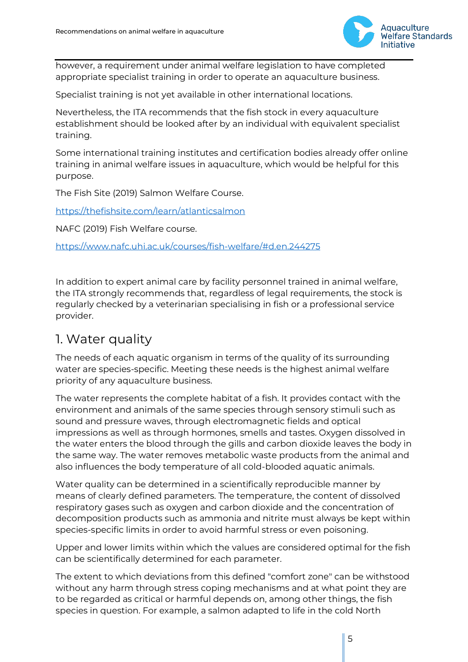

however, a requirement under animal welfare legislation to have completed appropriate specialist training in order to operate an aquaculture business.

Specialist training is not yet available in other international locations.

Nevertheless, the ITA recommends that the fish stock in every aquaculture establishment should be looked after by an individual with equivalent specialist training.

Some international training institutes and certification bodies already offer online training in animal welfare issues in aquaculture, which would be helpful for this purpose.

The Fish Site (2019) Salmon Welfare Course.

<https://thefishsite.com/learn/atlanticsalmon>

NAFC (2019) Fish Welfare course.

<https://www.nafc.uhi.ac.uk/courses/fish-welfare/#d.en.244275>

In addition to expert animal care by facility personnel trained in animal welfare, the ITA strongly recommends that, regardless of legal requirements, the stock is regularly checked by a veterinarian specialising in fish or a professional service provider.

### 1. Water quality

The needs of each aquatic organism in terms of the quality of its surrounding water are species-specific. Meeting these needs is the highest animal welfare priority of any aquaculture business.

The water represents the complete habitat of a fish. It provides contact with the environment and animals of the same species through sensory stimuli such as sound and pressure waves, through electromagnetic fields and optical impressions as well as through hormones, smells and tastes. Oxygen dissolved in the water enters the blood through the gills and carbon dioxide leaves the body in the same way. The water removes metabolic waste products from the animal and also influences the body temperature of all cold-blooded aquatic animals.

Water quality can be determined in a scientifically reproducible manner by means of clearly defined parameters. The temperature, the content of dissolved respiratory gases such as oxygen and carbon dioxide and the concentration of decomposition products such as ammonia and nitrite must always be kept within species-specific limits in order to avoid harmful stress or even poisoning.

Upper and lower limits within which the values are considered optimal for the fish can be scientifically determined for each parameter.

The extent to which deviations from this defined "comfort zone" can be withstood without any harm through stress coping mechanisms and at what point they are to be regarded as critical or harmful depends on, among other things, the fish species in question. For example, a salmon adapted to life in the cold North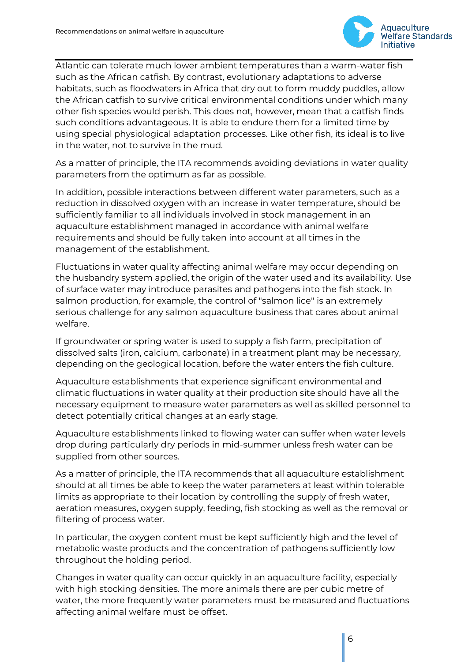

Atlantic can tolerate much lower ambient temperatures than a warm-water fish such as the African catfish. By contrast, evolutionary adaptations to adverse habitats, such as floodwaters in Africa that dry out to form muddy puddles, allow the African catfish to survive critical environmental conditions under which many other fish species would perish. This does not, however, mean that a catfish finds such conditions advantageous. It is able to endure them for a limited time by using special physiological adaptation processes. Like other fish, its ideal is to live in the water, not to survive in the mud.

As a matter of principle, the ITA recommends avoiding deviations in water quality parameters from the optimum as far as possible.

In addition, possible interactions between different water parameters, such as a reduction in dissolved oxygen with an increase in water temperature, should be sufficiently familiar to all individuals involved in stock management in an aquaculture establishment managed in accordance with animal welfare requirements and should be fully taken into account at all times in the management of the establishment.

Fluctuations in water quality affecting animal welfare may occur depending on the husbandry system applied, the origin of the water used and its availability. Use of surface water may introduce parasites and pathogens into the fish stock. In salmon production, for example, the control of "salmon lice" is an extremely serious challenge for any salmon aquaculture business that cares about animal welfare.

If groundwater or spring water is used to supply a fish farm, precipitation of dissolved salts (iron, calcium, carbonate) in a treatment plant may be necessary, depending on the geological location, before the water enters the fish culture.

Aquaculture establishments that experience significant environmental and climatic fluctuations in water quality at their production site should have all the necessary equipment to measure water parameters as well as skilled personnel to detect potentially critical changes at an early stage.

Aquaculture establishments linked to flowing water can suffer when water levels drop during particularly dry periods in mid-summer unless fresh water can be supplied from other sources.

As a matter of principle, the ITA recommends that all aquaculture establishment should at all times be able to keep the water parameters at least within tolerable limits as appropriate to their location by controlling the supply of fresh water, aeration measures, oxygen supply, feeding, fish stocking as well as the removal or filtering of process water.

In particular, the oxygen content must be kept sufficiently high and the level of metabolic waste products and the concentration of pathogens sufficiently low throughout the holding period.

Changes in water quality can occur quickly in an aquaculture facility, especially with high stocking densities. The more animals there are per cubic metre of water, the more frequently water parameters must be measured and fluctuations affecting animal welfare must be offset.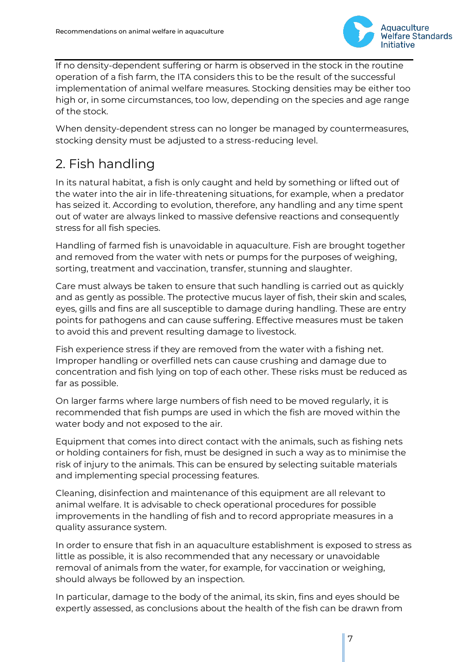

If no density-dependent suffering or harm is observed in the stock in the routine operation of a fish farm, the ITA considers this to be the result of the successful implementation of animal welfare measures. Stocking densities may be either too high or, in some circumstances, too low, depending on the species and age range of the stock.

When density-dependent stress can no longer be managed by countermeasures, stocking density must be adjusted to a stress-reducing level.

# 2. Fish handling

In its natural habitat, a fish is only caught and held by something or lifted out of the water into the air in life-threatening situations, for example, when a predator has seized it. According to evolution, therefore, any handling and any time spent out of water are always linked to massive defensive reactions and consequently stress for all fish species.

Handling of farmed fish is unavoidable in aquaculture. Fish are brought together and removed from the water with nets or pumps for the purposes of weighing, sorting, treatment and vaccination, transfer, stunning and slaughter.

Care must always be taken to ensure that such handling is carried out as quickly and as gently as possible. The protective mucus layer of fish, their skin and scales, eyes, gills and fins are all susceptible to damage during handling. These are entry points for pathogens and can cause suffering. Effective measures must be taken to avoid this and prevent resulting damage to livestock.

Fish experience stress if they are removed from the water with a fishing net. Improper handling or overfilled nets can cause crushing and damage due to concentration and fish lying on top of each other. These risks must be reduced as far as possible.

On larger farms where large numbers of fish need to be moved regularly, it is recommended that fish pumps are used in which the fish are moved within the water body and not exposed to the air.

Equipment that comes into direct contact with the animals, such as fishing nets or holding containers for fish, must be designed in such a way as to minimise the risk of injury to the animals. This can be ensured by selecting suitable materials and implementing special processing features.

Cleaning, disinfection and maintenance of this equipment are all relevant to animal welfare. It is advisable to check operational procedures for possible improvements in the handling of fish and to record appropriate measures in a quality assurance system.

In order to ensure that fish in an aquaculture establishment is exposed to stress as little as possible, it is also recommended that any necessary or unavoidable removal of animals from the water, for example, for vaccination or weighing, should always be followed by an inspection.

In particular, damage to the body of the animal, its skin, fins and eyes should be expertly assessed, as conclusions about the health of the fish can be drawn from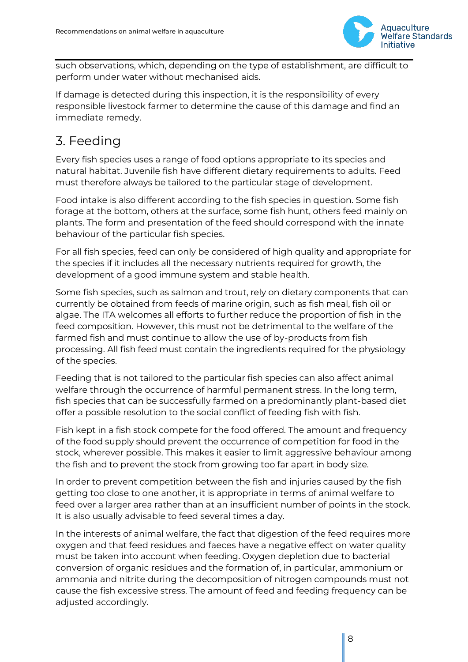

such observations, which, depending on the type of establishment, are difficult to perform under water without mechanised aids.

If damage is detected during this inspection, it is the responsibility of every responsible livestock farmer to determine the cause of this damage and find an immediate remedy.

# 3. Feeding

Every fish species uses a range of food options appropriate to its species and natural habitat. Juvenile fish have different dietary requirements to adults. Feed must therefore always be tailored to the particular stage of development.

Food intake is also different according to the fish species in question. Some fish forage at the bottom, others at the surface, some fish hunt, others feed mainly on plants. The form and presentation of the feed should correspond with the innate behaviour of the particular fish species.

For all fish species, feed can only be considered of high quality and appropriate for the species if it includes all the necessary nutrients required for growth, the development of a good immune system and stable health.

Some fish species, such as salmon and trout, rely on dietary components that can currently be obtained from feeds of marine origin, such as fish meal, fish oil or algae. The ITA welcomes all efforts to further reduce the proportion of fish in the feed composition. However, this must not be detrimental to the welfare of the farmed fish and must continue to allow the use of by-products from fish processing. All fish feed must contain the ingredients required for the physiology of the species.

Feeding that is not tailored to the particular fish species can also affect animal welfare through the occurrence of harmful permanent stress. In the long term, fish species that can be successfully farmed on a predominantly plant-based diet offer a possible resolution to the social conflict of feeding fish with fish.

Fish kept in a fish stock compete for the food offered. The amount and frequency of the food supply should prevent the occurrence of competition for food in the stock, wherever possible. This makes it easier to limit aggressive behaviour among the fish and to prevent the stock from growing too far apart in body size.

In order to prevent competition between the fish and injuries caused by the fish getting too close to one another, it is appropriate in terms of animal welfare to feed over a larger area rather than at an insufficient number of points in the stock. It is also usually advisable to feed several times a day.

In the interests of animal welfare, the fact that digestion of the feed requires more oxygen and that feed residues and faeces have a negative effect on water quality must be taken into account when feeding. Oxygen depletion due to bacterial conversion of organic residues and the formation of, in particular, ammonium or ammonia and nitrite during the decomposition of nitrogen compounds must not cause the fish excessive stress. The amount of feed and feeding frequency can be adjusted accordingly.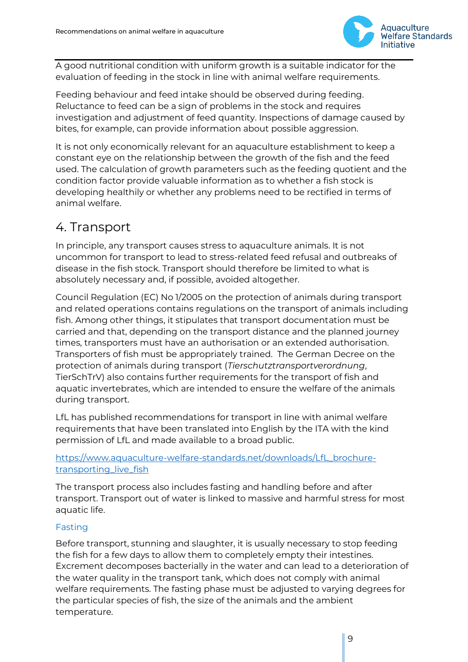

A good nutritional condition with uniform growth is a suitable indicator for the evaluation of feeding in the stock in line with animal welfare requirements.

Feeding behaviour and feed intake should be observed during feeding. Reluctance to feed can be a sign of problems in the stock and requires investigation and adjustment of feed quantity. Inspections of damage caused by bites, for example, can provide information about possible aggression.

It is not only economically relevant for an aquaculture establishment to keep a constant eye on the relationship between the growth of the fish and the feed used. The calculation of growth parameters such as the feeding quotient and the condition factor provide valuable information as to whether a fish stock is developing healthily or whether any problems need to be rectified in terms of animal welfare.

## 4. Transport

In principle, any transport causes stress to aquaculture animals. It is not uncommon for transport to lead to stress-related feed refusal and outbreaks of disease in the fish stock. Transport should therefore be limited to what is absolutely necessary and, if possible, avoided altogether.

Council Regulation (EC) No 1/2005 on the protection of animals during transport and related operations contains regulations on the transport of animals including fish. Among other things, it stipulates that transport documentation must be carried and that, depending on the transport distance and the planned journey times, transporters must have an authorisation or an extended authorisation. Transporters of fish must be appropriately trained. The German Decree on the protection of animals during transport (*Tierschutztransportverordnung*, TierSchTrV) also contains further requirements for the transport of fish and aquatic invertebrates, which are intended to ensure the welfare of the animals during transport.

LfL has published recommendations for transport in line with animal welfare requirements that have been translated into English by the ITA with the kind permission of LfL and made available to a broad public.

### [https://www.aquaculture-welfare-standards.net/downloads/LfL\\_brochure](https://www.aquaculture-welfare-standards.net/downloads/LfL_brochure-transporting_live_fish)[transporting\\_live\\_fish](https://www.aquaculture-welfare-standards.net/downloads/LfL_brochure-transporting_live_fish)

The transport process also includes fasting and handling before and after transport. Transport out of water is linked to massive and harmful stress for most aquatic life.

### Fasting

Before transport, stunning and slaughter, it is usually necessary to stop feeding the fish for a few days to allow them to completely empty their intestines. Excrement decomposes bacterially in the water and can lead to a deterioration of the water quality in the transport tank, which does not comply with animal welfare requirements. The fasting phase must be adjusted to varying degrees for the particular species of fish, the size of the animals and the ambient temperature.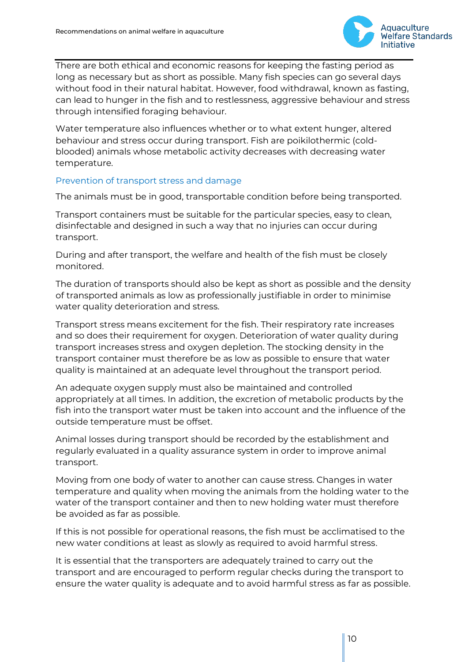

There are both ethical and economic reasons for keeping the fasting period as long as necessary but as short as possible. Many fish species can go several days without food in their natural habitat. However, food withdrawal, known as fasting, can lead to hunger in the fish and to restlessness, aggressive behaviour and stress through intensified foraging behaviour.

Water temperature also influences whether or to what extent hunger, altered behaviour and stress occur during transport. Fish are poikilothermic (coldblooded) animals whose metabolic activity decreases with decreasing water temperature.

#### Prevention of transport stress and damage

The animals must be in good, transportable condition before being transported.

Transport containers must be suitable for the particular species, easy to clean, disinfectable and designed in such a way that no injuries can occur during transport.

During and after transport, the welfare and health of the fish must be closely monitored.

The duration of transports should also be kept as short as possible and the density of transported animals as low as professionally justifiable in order to minimise water quality deterioration and stress.

Transport stress means excitement for the fish. Their respiratory rate increases and so does their requirement for oxygen. Deterioration of water quality during transport increases stress and oxygen depletion. The stocking density in the transport container must therefore be as low as possible to ensure that water quality is maintained at an adequate level throughout the transport period.

An adequate oxygen supply must also be maintained and controlled appropriately at all times. In addition, the excretion of metabolic products by the fish into the transport water must be taken into account and the influence of the outside temperature must be offset.

Animal losses during transport should be recorded by the establishment and regularly evaluated in a quality assurance system in order to improve animal transport.

Moving from one body of water to another can cause stress. Changes in water temperature and quality when moving the animals from the holding water to the water of the transport container and then to new holding water must therefore be avoided as far as possible.

If this is not possible for operational reasons, the fish must be acclimatised to the new water conditions at least as slowly as required to avoid harmful stress.

It is essential that the transporters are adequately trained to carry out the transport and are encouraged to perform regular checks during the transport to ensure the water quality is adequate and to avoid harmful stress as far as possible.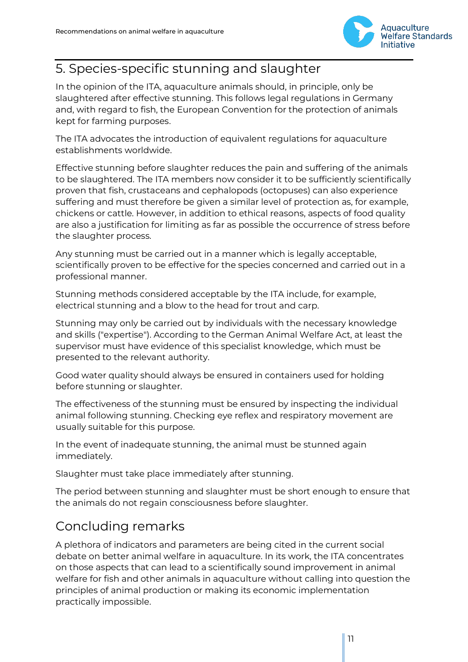

# 5. Species-specific stunning and slaughter

In the opinion of the ITA, aquaculture animals should, in principle, only be slaughtered after effective stunning. This follows legal regulations in Germany and, with regard to fish, the European Convention for the protection of animals kept for farming purposes.

The ITA advocates the introduction of equivalent regulations for aquaculture establishments worldwide.

Effective stunning before slaughter reduces the pain and suffering of the animals to be slaughtered. The ITA members now consider it to be sufficiently scientifically proven that fish, crustaceans and cephalopods (octopuses) can also experience suffering and must therefore be given a similar level of protection as, for example, chickens or cattle. However, in addition to ethical reasons, aspects of food quality are also a justification for limiting as far as possible the occurrence of stress before the slaughter process.

Any stunning must be carried out in a manner which is legally acceptable, scientifically proven to be effective for the species concerned and carried out in a professional manner.

Stunning methods considered acceptable by the ITA include, for example, electrical stunning and a blow to the head for trout and carp.

Stunning may only be carried out by individuals with the necessary knowledge and skills ("expertise"). According to the German Animal Welfare Act, at least the supervisor must have evidence of this specialist knowledge, which must be presented to the relevant authority.

Good water quality should always be ensured in containers used for holding before stunning or slaughter.

The effectiveness of the stunning must be ensured by inspecting the individual animal following stunning. Checking eye reflex and respiratory movement are usually suitable for this purpose.

In the event of inadequate stunning, the animal must be stunned again immediately.

Slaughter must take place immediately after stunning.

The period between stunning and slaughter must be short enough to ensure that the animals do not regain consciousness before slaughter.

## Concluding remarks

A plethora of indicators and parameters are being cited in the current social debate on better animal welfare in aquaculture. In its work, the ITA concentrates on those aspects that can lead to a scientifically sound improvement in animal welfare for fish and other animals in aquaculture without calling into question the principles of animal production or making its economic implementation practically impossible.